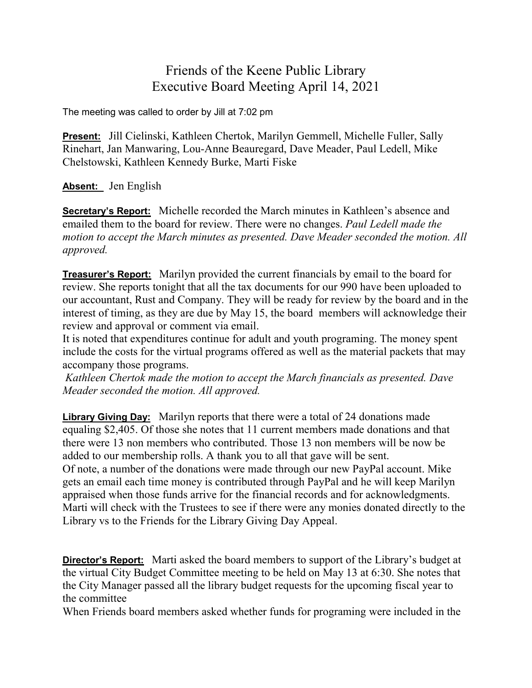## Friends of the Keene Public Library Executive Board Meeting April 14, 2021

The meeting was called to order by Jill at 7:02 pm

**Present:** Jill Cielinski, Kathleen Chertok, Marilyn Gemmell, Michelle Fuller, Sally Rinehart, Jan Manwaring, Lou-Anne Beauregard, Dave Meader, Paul Ledell, Mike Chelstowski, Kathleen Kennedy Burke, Marti Fiske

## **Absent:** Jen English

**Secretary's Report:** Michelle recorded the March minutes in Kathleen's absence and emailed them to the board for review. There were no changes. *Paul Ledell made the motion to accept the March minutes as presented. Dave Meader seconded the motion. All approved.*

**Treasurer's Report:** Marilyn provided the current financials by email to the board for review. She reports tonight that all the tax documents for our 990 have been uploaded to our accountant, Rust and Company. They will be ready for review by the board and in the interest of timing, as they are due by May 15, the board members will acknowledge their review and approval or comment via email.

It is noted that expenditures continue for adult and youth programing. The money spent include the costs for the virtual programs offered as well as the material packets that may accompany those programs.

*Kathleen Chertok made the motion to accept the March financials as presented. Dave Meader seconded the motion. All approved.*

**Library Giving Day:** Marilyn reports that there were a total of 24 donations made equaling \$2,405. Of those she notes that 11 current members made donations and that there were 13 non members who contributed. Those 13 non members will be now be added to our membership rolls. A thank you to all that gave will be sent. Of note, a number of the donations were made through our new PayPal account. Mike gets an email each time money is contributed through PayPal and he will keep Marilyn appraised when those funds arrive for the financial records and for acknowledgments. Marti will check with the Trustees to see if there were any monies donated directly to the Library vs to the Friends for the Library Giving Day Appeal.

**Director's Report:** Marti asked the board members to support of the Library's budget at the virtual City Budget Committee meeting to be held on May 13 at 6:30. She notes that the City Manager passed all the library budget requests for the upcoming fiscal year to the committee

When Friends board members asked whether funds for programing were included in the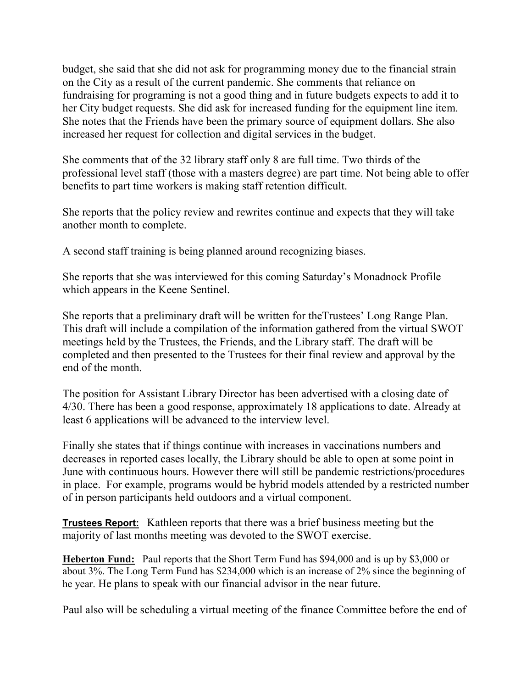budget, she said that she did not ask for programming money due to the financial strain on the City as a result of the current pandemic. She comments that reliance on fundraising for programing is not a good thing and in future budgets expects to add it to her City budget requests. She did ask for increased funding for the equipment line item. She notes that the Friends have been the primary source of equipment dollars. She also increased her request for collection and digital services in the budget.

She comments that of the 32 library staff only 8 are full time. Two thirds of the professional level staff (those with a masters degree) are part time. Not being able to offer benefits to part time workers is making staff retention difficult.

She reports that the policy review and rewrites continue and expects that they will take another month to complete.

A second staff training is being planned around recognizing biases.

She reports that she was interviewed for this coming Saturday's Monadnock Profile which appears in the Keene Sentinel.

She reports that a preliminary draft will be written for theTrustees' Long Range Plan. This draft will include a compilation of the information gathered from the virtual SWOT meetings held by the Trustees, the Friends, and the Library staff. The draft will be completed and then presented to the Trustees for their final review and approval by the end of the month.

The position for Assistant Library Director has been advertised with a closing date of 4/30. There has been a good response, approximately 18 applications to date. Already at least 6 applications will be advanced to the interview level.

Finally she states that if things continue with increases in vaccinations numbers and decreases in reported cases locally, the Library should be able to open at some point in June with continuous hours. However there will still be pandemic restrictions/procedures in place. For example, programs would be hybrid models attended by a restricted number of in person participants held outdoors and a virtual component.

**Trustees Report:** Kathleen reports that there was a brief business meeting but the majority of last months meeting was devoted to the SWOT exercise.

**Heberton Fund:** Paul reports that the Short Term Fund has \$94,000 and is up by \$3,000 or about 3%. The Long Term Fund has \$234,000 which is an increase of 2% since the beginning of he year. He plans to speak with our financial advisor in the near future.

Paul also will be scheduling a virtual meeting of the finance Committee before the end of